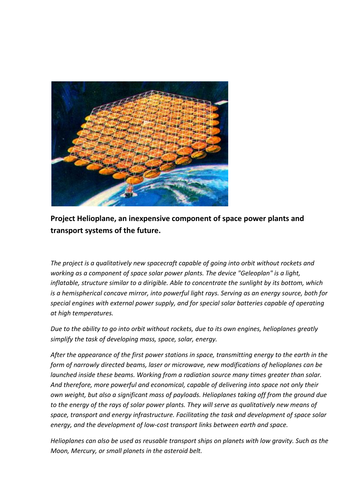

**Project Helioplane, an inexpensive component of space power plants and transport systems of the future.**

*The project is a qualitatively new spacecraft capable of going into orbit without rockets and working as a component of space solar power plants. The device "Geleoplan" is a light, inflatable, structure similar to a dirigible. Able to concentrate the sunlight by its bottom, which is a hemispherical concave mirror, into powerful light rays. Serving as an energy source, both for special engines with external power supply, and for special solar batteries capable of operating at high temperatures.*

*Due to the ability to go into orbit without rockets, due to its own engines, helioplanes greatly simplify the task of developing mass, space, solar, energy.*

*After the appearance of the first power stations in space, transmitting energy to the earth in the form of narrowly directed beams, laser or microwave, new modifications of helioplanes can be launched inside these beams. Working from a radiation source many times greater than solar. And therefore, more powerful and economical, capable of delivering into space not only their own weight, but also a significant mass of payloads. Helioplanes taking off from the ground due to the energy of the rays of solar power plants. They will serve as qualitatively new means of space, transport and energy infrastructure. Facilitating the task and development of space solar energy, and the development of low-cost transport links between earth and space.*

*Helioplanes can also be used as reusable transport ships on planets with low gravity. Such as the Moon, Mercury, or small planets in the asteroid belt.*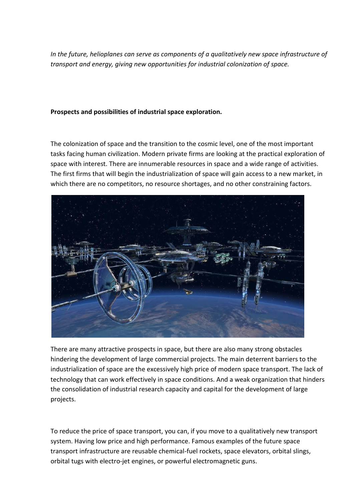*In the future, helioplanes can serve as components of a qualitatively new space infrastructure of transport and energy, giving new opportunities for industrial colonization of space.*

## **Prospects and possibilities of industrial space exploration.**

The colonization of space and the transition to the cosmic level, one of the most important tasks facing human civilization. Modern private firms are looking at the practical exploration of space with interest. There are innumerable resources in space and a wide range of activities. The first firms that will begin the industrialization of space will gain access to a new market, in which there are no competitors, no resource shortages, and no other constraining factors.



There are many attractive prospects in space, but there are also many strong obstacles hindering the development of large commercial projects. The main deterrent barriers to the industrialization of space are the excessively high price of modern space transport. The lack of technology that can work effectively in space conditions. And a weak organization that hinders the consolidation of industrial research capacity and capital for the development of large projects.

To reduce the price of space transport, you can, if you move to a qualitatively new transport system. Having low price and high performance. Famous examples of the future space transport infrastructure are reusable chemical-fuel rockets, space elevators, orbital slings, orbital tugs with electro-jet engines, or powerful electromagnetic guns.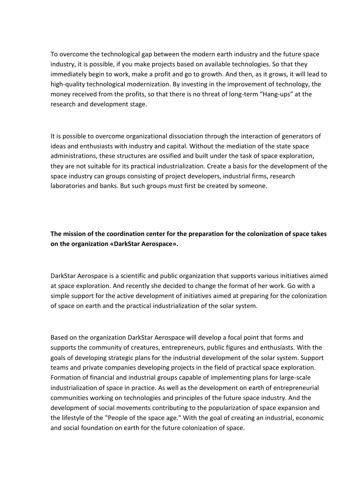To overcome the technological gap between the modern earth industry and the future space industry, it is possible, if you make projects based on available technologies. So that they immediately begin to work, make a profit and go to growth. And then, as it grows, it will lead to high-quality technological modernization. By investing in the improvement of technology, the money received from the profits, so that there is no threat of long-term "Hang-ups" at the research and development stage.

It is possible to overcome organizational dissociation through the interaction of generators of ideas and enthusiasts with industry and capital. Without the mediation of the state space administrations, these structures are ossified and built under the task of space exploration, they are not suitable for its practical industrialization. Create a basis for the development of the space industry can groups consisting of project developers, industrial firms, research laboratories and banks. But such groups must first be created by someone.

**The mission of the coordination center for the preparation for the colonization of space takes on the organization «DarkStar Aerospace».**

DarkStar Aerospace is a scientific and public organization that supports various initiatives aimed at space exploration. And recently she decided to change the format of her work. Go with a simple support for the active development of initiatives aimed at preparing for the colonization of space on earth and the practical industrialization of the solar system.

Based on the organization DarkStar Aerospace will develop a focal point that forms and supports the community of creatures, entrepreneurs, public figures and enthusiasts. With the goals of developing strategic plans for the industrial development of the solar system. Support teams and private companies developing projects in the field of practical space exploration. Formation of financial and industrial groups capable of implementing plans for large-scale industrialization of space in practice. As well as the development on earth of entrepreneurial communities working on technologies and principles of the future space industry. And the development of social movements contributing to the popularization of space expansion and the lifestyle of the "People of the space age." With the goal of creating an industrial, economic and social foundation on earth for the future colonization of space.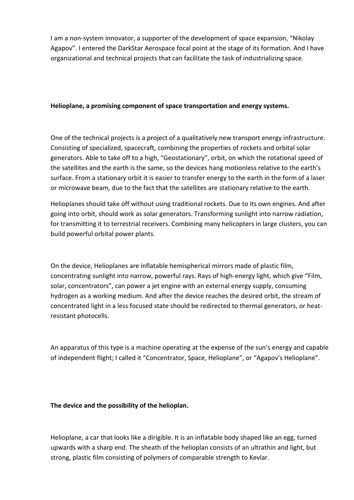I am a non-system innovator, a supporter of the development of space expansion, "Nikolay Agapov". I entered the DarkStar Aerospace focal point at the stage of its formation. And I have organizational and technical projects that can facilitate the task of industrializing space.

### **Helioplane, a promising component of space transportation and energy systems.**

One of the technical projects is a project of a qualitatively new transport energy infrastructure. Consisting of specialized, spacecraft, combining the properties of rockets and orbital solar generators. Able to take off to a high, "Geostationary", orbit, on which the rotational speed of the satellites and the earth is the same, so the devices hang motionless relative to the earth's surface. From a stationary orbit it is easier to transfer energy to the earth in the form of a laser or microwave beam, due to the fact that the satellites are stationary relative to the earth.

Helioplanes should take off without using traditional rockets. Due to its own engines. And after going into orbit, should work as solar generators. Transforming sunlight into narrow radiation, for transmitting it to terrestrial receivers. Combining many helicopters in large clusters, you can build powerful orbital power plants.

On the device, Helioplanes are inflatable hemispherical mirrors made of plastic film, concentrating sunlight into narrow, powerful rays. Rays of high-energy light, which give "Film, solar, concentrators", can power a jet engine with an external energy supply, consuming hydrogen as a working medium. And after the device reaches the desired orbit, the stream of concentrated light in a less focused state should be redirected to thermal generators, or heatresistant photocells.

An apparatus of this type is a machine operating at the expense of the sun's energy and capable of independent flight; I called it "Concentrator, Space, Helioplane", or "Agapov's Helioplane".

# **The device and the possibility of the helioplan.**

Helioplane, a car that looks like a dirigible. It is an inflatable body shaped like an egg, turned upwards with a sharp end. The sheath of the helioplan consists of an ultrathin and light, but strong, plastic film consisting of polymers of comparable strength to Kevlar.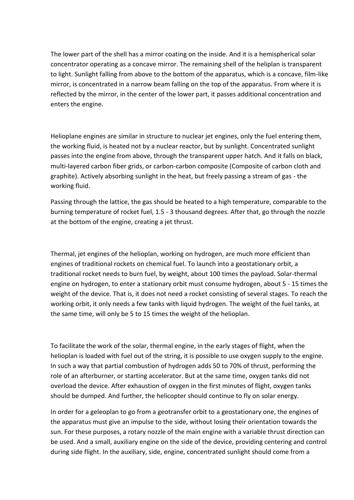The lower part of the shell has a mirror coating on the inside. And it is a hemispherical solar concentrator operating as a concave mirror. The remaining shell of the heliplan is transparent to light. Sunlight falling from above to the bottom of the apparatus, which is a concave, film-like mirror, is concentrated in a narrow beam falling on the top of the apparatus. From where it is reflected by the mirror, in the center of the lower part, it passes additional concentration and enters the engine.

Helioplane engines are similar in structure to nuclear jet engines, only the fuel entering them, the working fluid, is heated not by a nuclear reactor, but by sunlight. Concentrated sunlight passes into the engine from above, through the transparent upper hatch. And it falls on black, multi-layered carbon fiber grids, or carbon-carbon composite (Composite of carbon cloth and graphite). Actively absorbing sunlight in the heat, but freely passing a stream of gas - the working fluid.

Passing through the lattice, the gas should be heated to a high temperature, comparable to the burning temperature of rocket fuel, 1.5 - 3 thousand degrees. After that, go through the nozzle at the bottom of the engine, creating a jet thrust.

Thermal, jet engines of the helioplan, working on hydrogen, are much more efficient than engines of traditional rockets on chemical fuel. To launch into a geostationary orbit, a traditional rocket needs to burn fuel, by weight, about 100 times the payload. Solar-thermal engine on hydrogen, to enter a stationary orbit must consume hydrogen, about 5 - 15 times the weight of the device. That is, it does not need a rocket consisting of several stages. To reach the working orbit, it only needs a few tanks with liquid hydrogen. The weight of the fuel tanks, at the same time, will only be 5 to 15 times the weight of the helioplan.

To facilitate the work of the solar, thermal engine, in the early stages of flight, when the helioplan is loaded with fuel out of the string, it is possible to use oxygen supply to the engine. In such a way that partial combustion of hydrogen adds 50 to 70% of thrust, performing the role of an afterburner, or starting accelerator. But at the same time, oxygen tanks did not overload the device. After exhaustion of oxygen in the first minutes of flight, oxygen tanks should be dumped. And further, the helicopter should continue to fly on solar energy.

In order for a geleoplan to go from a geotransfer orbit to a geostationary one, the engines of the apparatus must give an impulse to the side, without losing their orientation towards the sun. For these purposes, a rotary nozzle of the main engine with a variable thrust direction can be used. And a small, auxiliary engine on the side of the device, providing centering and control during side flight. In the auxiliary, side, engine, concentrated sunlight should come from a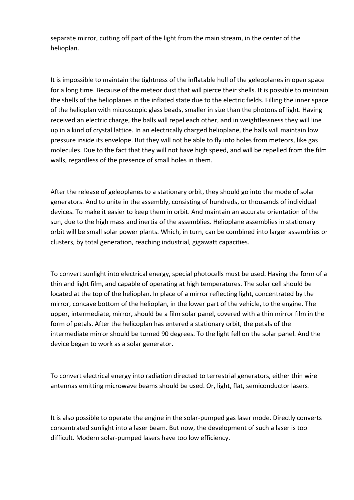separate mirror, cutting off part of the light from the main stream, in the center of the helioplan.

It is impossible to maintain the tightness of the inflatable hull of the geleoplanes in open space for a long time. Because of the meteor dust that will pierce their shells. It is possible to maintain the shells of the helioplanes in the inflated state due to the electric fields. Filling the inner space of the helioplan with microscopic glass beads, smaller in size than the photons of light. Having received an electric charge, the balls will repel each other, and in weightlessness they will line up in a kind of crystal lattice. In an electrically charged helioplane, the balls will maintain low pressure inside its envelope. But they will not be able to fly into holes from meteors, like gas molecules. Due to the fact that they will not have high speed, and will be repelled from the film walls, regardless of the presence of small holes in them.

After the release of geleoplanes to a stationary orbit, they should go into the mode of solar generators. And to unite in the assembly, consisting of hundreds, or thousands of individual devices. To make it easier to keep them in orbit. And maintain an accurate orientation of the sun, due to the high mass and inertia of the assemblies. Helioplane assemblies in stationary orbit will be small solar power plants. Which, in turn, can be combined into larger assemblies or clusters, by total generation, reaching industrial, gigawatt capacities.

To convert sunlight into electrical energy, special photocells must be used. Having the form of a thin and light film, and capable of operating at high temperatures. The solar cell should be located at the top of the helioplan. In place of a mirror reflecting light, concentrated by the mirror, concave bottom of the helioplan, in the lower part of the vehicle, to the engine. The upper, intermediate, mirror, should be a film solar panel, covered with a thin mirror film in the form of petals. After the helicoplan has entered a stationary orbit, the petals of the intermediate mirror should be turned 90 degrees. To the light fell on the solar panel. And the device began to work as a solar generator.

To convert electrical energy into radiation directed to terrestrial generators, either thin wire antennas emitting microwave beams should be used. Or, light, flat, semiconductor lasers.

It is also possible to operate the engine in the solar-pumped gas laser mode. Directly converts concentrated sunlight into a laser beam. But now, the development of such a laser is too difficult. Modern solar-pumped lasers have too low efficiency.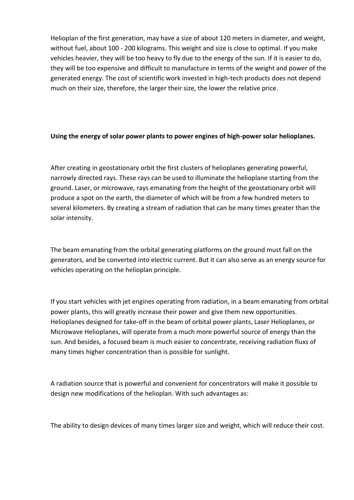Helioplan of the first generation, may have a size of about 120 meters in diameter, and weight, without fuel, about 100 - 200 kilograms. This weight and size is close to optimal. If you make vehicles heavier, they will be too heavy to fly due to the energy of the sun. If it is easier to do, they will be too expensive and difficult to manufacture in terms of the weight and power of the generated energy. The cost of scientific work invested in high-tech products does not depend much on their size, therefore, the larger their size, the lower the relative price.

### **Using the energy of solar power plants to power engines of high-power solar helioplanes.**

After creating in geostationary orbit the first clusters of helioplanes generating powerful, narrowly directed rays. These rays can be used to illuminate the helioplane starting from the ground. Laser, or microwave, rays emanating from the height of the geostationary orbit will produce a spot on the earth, the diameter of which will be from a few hundred meters to several kilometers. By creating a stream of radiation that can be many times greater than the solar intensity.

The beam emanating from the orbital generating platforms on the ground must fall on the generators, and be converted into electric current. But it can also serve as an energy source for vehicles operating on the helioplan principle.

If you start vehicles with jet engines operating from radiation, in a beam emanating from orbital power plants, this will greatly increase their power and give them new opportunities. Helioplanes designed for take-off in the beam of orbital power plants, Laser Helioplanes, or Microwave Helioplanes, will operate from a much more powerful source of energy than the sun. And besides, a focused beam is much easier to concentrate, receiving radiation fluxs of many times higher concentration than is possible for sunlight.

A radiation source that is powerful and convenient for concentrators will make it possible to design new modifications of the helioplan. With such advantages as:

The ability to design devices of many times larger size and weight, which will reduce their cost.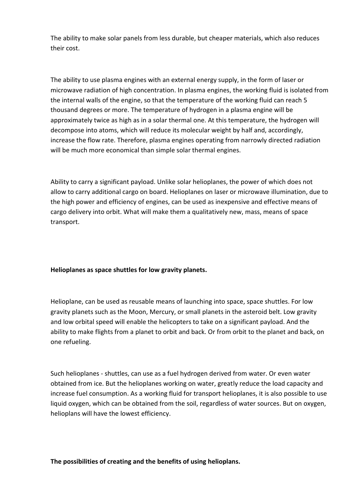The ability to make solar panels from less durable, but cheaper materials, which also reduces their cost.

The ability to use plasma engines with an external energy supply, in the form of laser or microwave radiation of high concentration. In plasma engines, the working fluid is isolated from the internal walls of the engine, so that the temperature of the working fluid can reach 5 thousand degrees or more. The temperature of hydrogen in a plasma engine will be approximately twice as high as in a solar thermal one. At this temperature, the hydrogen will decompose into atoms, which will reduce its molecular weight by half and, accordingly, increase the flow rate. Therefore, plasma engines operating from narrowly directed radiation will be much more economical than simple solar thermal engines.

Ability to carry a significant payload. Unlike solar helioplanes, the power of which does not allow to carry additional cargo on board. Helioplanes on laser or microwave illumination, due to the high power and efficiency of engines, can be used as inexpensive and effective means of cargo delivery into orbit. What will make them a qualitatively new, mass, means of space transport.

# **Helioplanes as space shuttles for low gravity planets.**

Helioplane, can be used as reusable means of launching into space, space shuttles. For low gravity planets such as the Moon, Mercury, or small planets in the asteroid belt. Low gravity and low orbital speed will enable the helicopters to take on a significant payload. And the ability to make flights from a planet to orbit and back. Or from orbit to the planet and back, on one refueling.

Such helioplanes - shuttles, can use as a fuel hydrogen derived from water. Or even water obtained from ice. But the helioplanes working on water, greatly reduce the load capacity and increase fuel consumption. As a working fluid for transport helioplanes, it is also possible to use liquid oxygen, which can be obtained from the soil, regardless of water sources. But on oxygen, helioplans will have the lowest efficiency.

### **The possibilities of creating and the benefits of using helioplans.**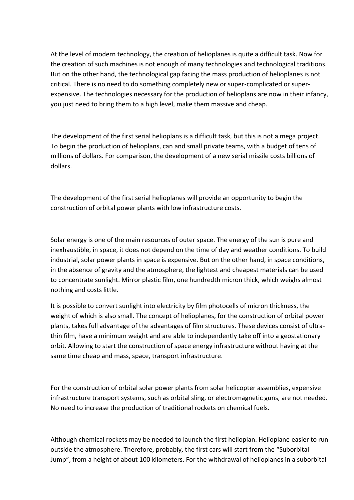At the level of modern technology, the creation of helioplanes is quite a difficult task. Now for the creation of such machines is not enough of many technologies and technological traditions. But on the other hand, the technological gap facing the mass production of helioplanes is not critical. There is no need to do something completely new or super-complicated or superexpensive. The technologies necessary for the production of helioplans are now in their infancy, you just need to bring them to a high level, make them massive and cheap.

The development of the first serial helioplans is a difficult task, but this is not a mega project. To begin the production of helioplans, can and small private teams, with a budget of tens of millions of dollars. For comparison, the development of a new serial missile costs billions of dollars.

The development of the first serial helioplanes will provide an opportunity to begin the construction of orbital power plants with low infrastructure costs.

Solar energy is one of the main resources of outer space. The energy of the sun is pure and inexhaustible, in space, it does not depend on the time of day and weather conditions. To build industrial, solar power plants in space is expensive. But on the other hand, in space conditions, in the absence of gravity and the atmosphere, the lightest and cheapest materials can be used to concentrate sunlight. Mirror plastic film, one hundredth micron thick, which weighs almost nothing and costs little.

It is possible to convert sunlight into electricity by film photocells of micron thickness, the weight of which is also small. The concept of helioplanes, for the construction of orbital power plants, takes full advantage of the advantages of film structures. These devices consist of ultrathin film, have a minimum weight and are able to independently take off into a geostationary orbit. Allowing to start the construction of space energy infrastructure without having at the same time cheap and mass, space, transport infrastructure.

For the construction of orbital solar power plants from solar helicopter assemblies, expensive infrastructure transport systems, such as orbital sling, or electromagnetic guns, are not needed. No need to increase the production of traditional rockets on chemical fuels.

Although chemical rockets may be needed to launch the first helioplan. Helioplane easier to run outside the atmosphere. Therefore, probably, the first cars will start from the "Suborbital Jump", from a height of about 100 kilometers. For the withdrawal of helioplanes in a suborbital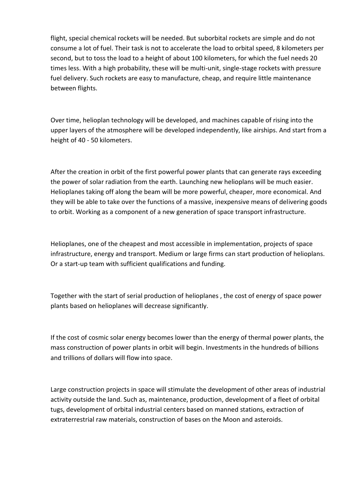flight, special chemical rockets will be needed. But suborbital rockets are simple and do not consume a lot of fuel. Their task is not to accelerate the load to orbital speed, 8 kilometers per second, but to toss the load to a height of about 100 kilometers, for which the fuel needs 20 times less. With a high probability, these will be multi-unit, single-stage rockets with pressure fuel delivery. Such rockets are easy to manufacture, cheap, and require little maintenance between flights.

Over time, helioplan technology will be developed, and machines capable of rising into the upper layers of the atmosphere will be developed independently, like airships. And start from a height of 40 - 50 kilometers.

After the creation in orbit of the first powerful power plants that can generate rays exceeding the power of solar radiation from the earth. Launching new helioplans will be much easier. Helioplanes taking off along the beam will be more powerful, cheaper, more economical. And they will be able to take over the functions of a massive, inexpensive means of delivering goods to orbit. Working as a component of a new generation of space transport infrastructure.

Helioplanes, one of the cheapest and most accessible in implementation, projects of space infrastructure, energy and transport. Medium or large firms can start production of helioplans. Or a start-up team with sufficient qualifications and funding.

Together with the start of serial production of helioplanes , the cost of energy of space power plants based on helioplanes will decrease significantly.

If the cost of cosmic solar energy becomes lower than the energy of thermal power plants, the mass construction of power plants in orbit will begin. Investments in the hundreds of billions and trillions of dollars will flow into space.

Large construction projects in space will stimulate the development of other areas of industrial activity outside the land. Such as, maintenance, production, development of a fleet of orbital tugs, development of orbital industrial centers based on manned stations, extraction of extraterrestrial raw materials, construction of bases on the Moon and asteroids.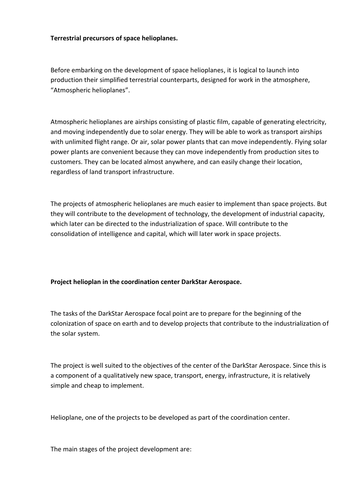### **Terrestrial precursors of space helioplanes.**

Before embarking on the development of space helioplanes, it is logical to launch into production their simplified terrestrial counterparts, designed for work in the atmosphere, "Atmospheric helioplanes".

Atmospheric helioplanes are airships consisting of plastic film, capable of generating electricity, and moving independently due to solar energy. They will be able to work as transport airships with unlimited flight range. Or air, solar power plants that can move independently. Flying solar power plants are convenient because they can move independently from production sites to customers. They can be located almost anywhere, and can easily change their location, regardless of land transport infrastructure.

The projects of atmospheric helioplanes are much easier to implement than space projects. But they will contribute to the development of technology, the development of industrial capacity, which later can be directed to the industrialization of space. Will contribute to the consolidation of intelligence and capital, which will later work in space projects.

### **Project helioplan in the coordination center DarkStar Aerospace.**

The tasks of the DarkStar Aerospace focal point are to prepare for the beginning of the colonization of space on earth and to develop projects that contribute to the industrialization of the solar system.

The project is well suited to the objectives of the center of the DarkStar Aerospace. Since this is a component of a qualitatively new space, transport, energy, infrastructure, it is relatively simple and cheap to implement.

Helioplane, one of the projects to be developed as part of the coordination center.

The main stages of the project development are: